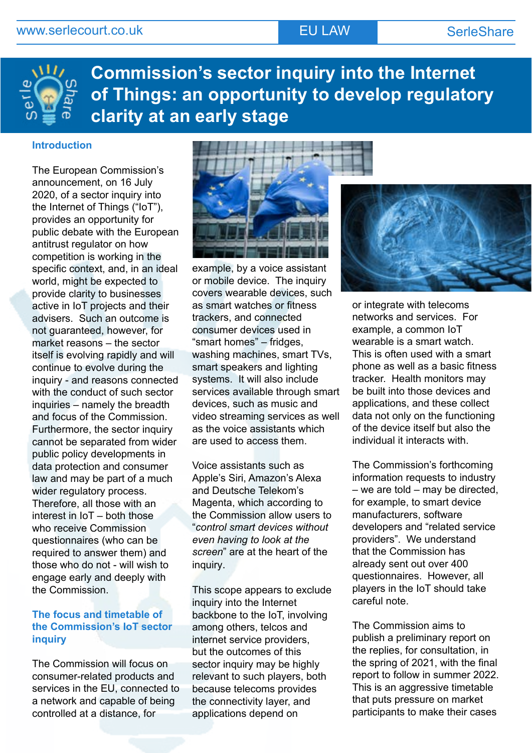

**Commission's sector inquiry into the Internet of Things: an opportunity to develop regulatory clarity at an early stage**

## **Introduction**

The European Commission's announcement, on 16 July 2020, of a sector inquiry into the Internet of Things ("IoT"), provides an opportunity for public debate with the European antitrust regulator on how competition is working in the specific context, and, in an ideal world, might be expected to provide clarity to businesses active in IoT projects and their advisers. Such an outcome is not guaranteed, however, for market reasons – the sector itself is evolving rapidly and will continue to evolve during the inquiry - and reasons connected with the conduct of such sector inquiries – namely the breadth and focus of the Commission. Furthermore, the sector inquiry cannot be separated from wider public policy developments in data protection and consumer law and may be part of a much wider regulatory process. Therefore, all those with an interest in IoT – both those who receive Commission questionnaires (who can be required to answer them) and those who do not - will wish to engage early and deeply with the Commission.

## **The focus and timetable of the Commission's IoT sector inquiry**

The Commission will focus on consumer-related products and services in the EU, connected to a network and capable of being controlled at a distance, for



example, by a voice assistant or mobile device. The inquiry covers wearable devices, such as smart watches or fitness trackers, and connected consumer devices used in "smart homes" – fridges, washing machines, smart TVs, smart speakers and lighting systems. It will also include services available through smart devices, such as music and video streaming services as well as the voice assistants which are used to access them.

Voice assistants such as Apple's Siri, Amazon's Alexa and Deutsche Telekom's Magenta, which according to the Commission allow users to "*control smart devices without even having to look at the screen*" are at the heart of the inquiry.

This scope appears to exclude inquiry into the Internet backbone to the IoT, involving among others, telcos and internet service providers, but the outcomes of this sector inquiry may be highly relevant to such players, both because telecoms provides the connectivity layer, and applications depend on



or integrate with telecoms networks and services. For example, a common IoT wearable is a smart watch. This is often used with a smart phone as well as a basic fitness tracker. Health monitors may be built into those devices and applications, and these collect data not only on the functioning of the device itself but also the individual it interacts with.

The Commission's forthcoming information requests to industry – we are told – may be directed, for example, to smart device manufacturers, software developers and "related service providers". We understand that the Commission has already sent out over 400 questionnaires. However, all players in the IoT should take careful note.

The Commission aims to publish a preliminary report on the replies, for consultation, in the spring of 2021, with the final report to follow in summer 2022. This is an aggressive timetable that puts pressure on market participants to make their cases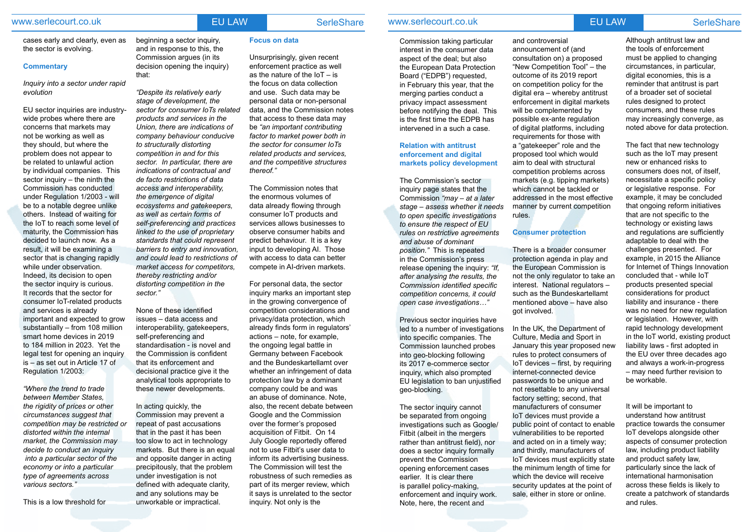# www.serlecourt.co.uk **EU LAW SerleShare**

cases early and clearly, even as the sector is evolving.

### **Commentary**

*Inquiry into a sector under rapid evolution*

EU sector inquiries are industrywide probes where there are concerns that markets may not be working as well as they should, but where the problem does not appear to be related to unlawful action by individual companies. This sector inquiry – the ninth the Commission has conducted under Regulation 1/2003 - will be to a notable degree unlike others. Instead of waiting for the IoT to reach some level of maturity, the Commission has decided to launch now. As a result, it will be examining a sector that is changing rapidly while under observation. Indeed, its decision to open the sector inquiry is curious. It records that the sector for consumer IoT-related products and services is already important and expected to grow substantially – from 108 million smart home devices in 2019 to 184 million in 2023. Yet the legal test for opening an inquiry is – as set out in Article 17 of Regulation 1/2003:

*"Where the trend to trade between Member States, the rigidity of prices or other circumstances suggest that competition may be restricted or distorted within the internal market, the Commission may decide to conduct an inquiry into a particular sector of the economy or into a particular type of agreements across various sectors."*

This is a low threshold for

beginning a sector inquiry, and in response to this, the

decision opening the inquiry)

that:

*"Despite its relatively early stage of development, the* 

**Directors' Commission argues (in its Commission argues (in its Consumption and Consumption and Consumption and Consumption and Consumption and Consumption are all consumer consumer consumer consumer consumer consumer cons** Inst.<br> **Institute and Governance Act 2020**<br>
the fecus on data collection Unsurprisingly, given recent enforcement practice as well the focus on data collection and use. Such data may be personal data or non-personal data, and the Commission notes that access to these data may be *"an important contributing factor to market power both in the sector for consumer IoTs related products and services, and the competitive structures thereof."*

*sector for consumer IoTs related products and services in the Union, there are indications of company behaviour conducive* 

*to structurally distorting competition in and for this sector. In particular, there are indications of contractual and de facto restrictions of data access and interoperability, the emergence of digital* 

*ecosystems and gatekeepers, as well as certain forms of self-preferencing and practices linked to the use of proprietary standards that could represent barriers to entry and innovation, and could lead to restrictions of market access for competitors, thereby restricting and/or distorting competition in the* 

*sector."*

None of these identified issues – data access and interoperability, gatekeepers,

self-preferencing and

standardisation - is novel and the Commission is confident that its enforcement and decisional practice give it the analytical tools appropriate to these newer developments.

In acting quickly, the

Commission may prevent a repeat of past accusations that in the past it has been too slow to act in technology markets. But there is an equal and opposite danger in acting precipitously, that the problem under investigation is not defined with adequate clarity, and any solutions may be unworkable or impractical.

### **Focus on data**

The Commission notes that the enormous volumes of data already flowing through consumer IoT products and services allows businesses to observe consumer habits and predict behaviour. It is a key input to developing AI. Those with access to data can better compete in AI-driven markets.

**Directors** and the consultation on) a proposed and the consultation on a proposed and the corporation of the consultation of the corporation of the consultation  $T_0$ , the correct open in pertieur of the corporation of th **Institute Act Act 2019**<br> **Institute** *Institute* **Internal Conduct Conduct Act Act 2019**<br> **Institute Internal Conduct Act 2019**<br> **Institute Institute Internal Conduct Act 2019** Although antitrust law and the tools of enforcement must be applied to changing circumstances, in particular, digital economies, this is a reminder that antitrust is part of a broader set of societal rules designed to protect consumers, and these rules may increasingly converge, as noted above for data protection.

For personal data, the sector inquiry marks an important step in the growing convergence of competition considerations and privacy/data protection, which already finds form in regulators' actions – note, for example, the ongoing legal battle in Germany between Facebook and the Bundeskartellamt over whether an infringement of data protection law by a dominant company could be and was an abuse of dominance. Note, also, the recent debate between Google and the Commission over the former's proposed acquisition of Fitbit. On 14 July Google reportedly offered not to use Fitbit's user data to inform its advertising business. The Commission will test the robustness of such remedies as part of its merger review, which it says is unrelated to the sector inquiry. Not only is the

# www.serlecourt.co.uk **EU LAW SerieShare**

Commission taking particular interest in the consumer data aspect of the deal; but also the European Data Protection Board ("EDPB") requested, in February this year, that the merging parties conduct a privacy impact assessment before notifying the deal. This is the first time the EDPB has intervened in a such a case.

### **Relation with antitrust enforcement and digital markets policy development**

The Commission's sector inquiry page states that the Commission *"may – at a later stage – assess whether it needs to open specific investigations to ensure the respect of EU rules on restrictive agreements and abuse of dominant position."* This is repeated in the Commission's press release opening the inquiry: *"If, after analysing the results, the Commission identified specific competition concerns, it could open case investigations…"*

Previous sector inquiries have led to a number of investigations into specific companies. The Commission launched probes into geo-blocking following its 2017 e-commerce sector inquiry, which also prompted EU legislation to ban unjustified geo-blocking.

The sector inquiry cannot be separated from ongoing investigations such as Google/ Fitbit (albeit in the mergers rather than antitrust field), nor does a sector inquiry formally prevent the Commission opening enforcement cases earlier. It is clear there is parallel policy-making, enforcement and inquiry work. Note, here, the recent and

and controversial announcement of (and "New Competition Tool" – the on competition policy for the digital era – whereby antitrust enforcement in digital markets will be complemented by possible ex-ante regulation of digital platforms, including requirements for those with a "gatekeeper" role and the proposed tool which would aim to deal with structural competition problems across markets (e.g. tipping markets) which cannot be tackled or addressed in the most effective manner by current competition rules.

# **Consumer protection**

There is a broader consumer protection agenda in play and the European Commission is not the only regulator to take an interest. National regulators – such as the Bundeskartellamt mentioned above – have also got involved.

In the UK, the Department of Culture, Media and Sport in January this year proposed new rules to protect consumers of IoT devices – first, by requiring internet-connected device passwords to be unique and not resettable to any universal factory setting; second, that manufacturers of consumer IoT devices must provide a public point of contact to enable vulnerabilities to be reported and acted on in a timely way; and thirdly, manufacturers of IoT devices must explicitly state the minimum length of time for which the device will receive security updates at the point of sale, either in store or online.

The fact that new technology such as the IoT may present new or enhanced risks to consumers does not, of itself, necessitate a specific policy or legislative response. For example, it may be concluded that ongoing reform initiatives that are not specific to the technology or existing laws and regulations are sufficiently adaptable to deal with the challenges presented. For example, in 2015 the Alliance for Internet of Things Innovation concluded that - while IoT products presented special considerations for product liability and insurance - there was no need for new regulation or legislation. However, with rapid technology development in the IoT world, existing product liability laws - first adopted in the EU over three decades ago and always a work-in-progress – may need further revision to be workable.

It will be important to understand how antitrust practice towards the consumer IoT develops alongside other aspects of consumer protection law, including product liability and product safety law, particularly since the lack of international harmonisation across these fields is likely to create a patchwork of standards and rules.